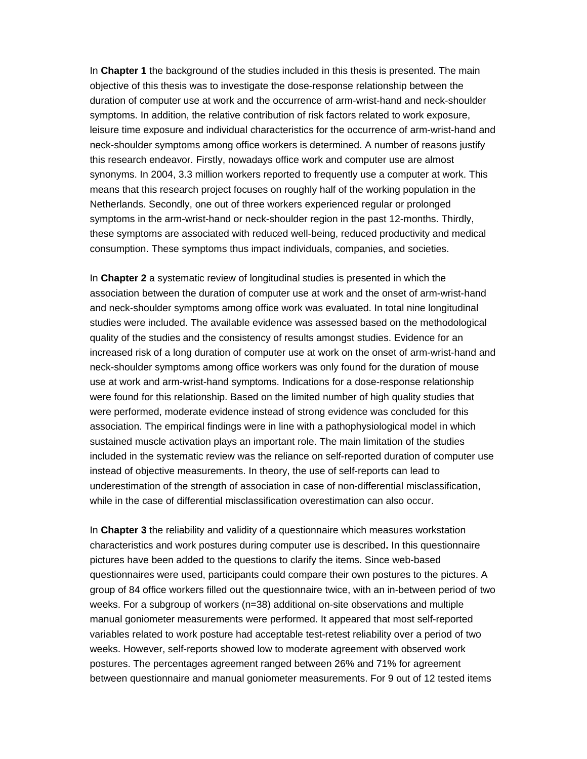In **Chapter 1** the background of the studies included in this thesis is presented. The main objective of this thesis was to investigate the dose-response relationship between the duration of computer use at work and the occurrence of arm-wrist-hand and neck-shoulder symptoms. In addition, the relative contribution of risk factors related to work exposure, leisure time exposure and individual characteristics for the occurrence of arm-wrist-hand and neck-shoulder symptoms among office workers is determined. A number of reasons justify this research endeavor. Firstly, nowadays office work and computer use are almost synonyms. In 2004, 3.3 million workers reported to frequently use a computer at work. This means that this research project focuses on roughly half of the working population in the Netherlands. Secondly, one out of three workers experienced regular or prolonged symptoms in the arm-wrist-hand or neck-shoulder region in the past 12-months. Thirdly, these symptoms are associated with reduced well-being, reduced productivity and medical consumption. These symptoms thus impact individuals, companies, and societies.

In **Chapter 2** a systematic review of longitudinal studies is presented in which the association between the duration of computer use at work and the onset of arm-wrist-hand and neck-shoulder symptoms among office work was evaluated. In total nine longitudinal studies were included. The available evidence was assessed based on the methodological quality of the studies and the consistency of results amongst studies. Evidence for an increased risk of a long duration of computer use at work on the onset of arm-wrist-hand and neck-shoulder symptoms among office workers was only found for the duration of mouse use at work and arm-wrist-hand symptoms. Indications for a dose-response relationship were found for this relationship. Based on the limited number of high quality studies that were performed, moderate evidence instead of strong evidence was concluded for this association. The empirical findings were in line with a pathophysiological model in which sustained muscle activation plays an important role. The main limitation of the studies included in the systematic review was the reliance on self-reported duration of computer use instead of objective measurements. In theory, the use of self-reports can lead to underestimation of the strength of association in case of non-differential misclassification, while in the case of differential misclassification overestimation can also occur.

In **Chapter 3** the reliability and validity of a questionnaire which measures workstation characteristics and work postures during computer use is described**.** In this questionnaire pictures have been added to the questions to clarify the items. Since web-based questionnaires were used, participants could compare their own postures to the pictures. A group of 84 office workers filled out the questionnaire twice, with an in-between period of two weeks. For a subgroup of workers (n=38) additional on-site observations and multiple manual goniometer measurements were performed. It appeared that most self-reported variables related to work posture had acceptable test-retest reliability over a period of two weeks. However, self-reports showed low to moderate agreement with observed work postures. The percentages agreement ranged between 26% and 71% for agreement between questionnaire and manual goniometer measurements. For 9 out of 12 tested items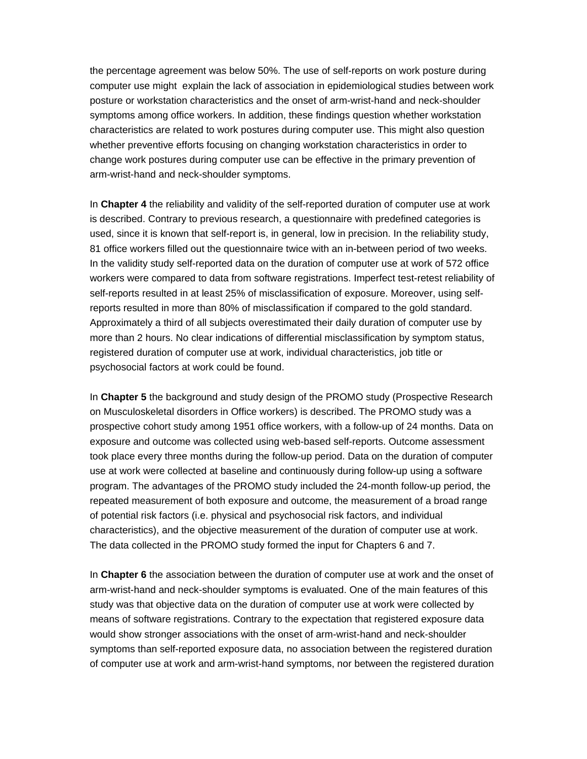the percentage agreement was below 50%. The use of self-reports on work posture during computer use might explain the lack of association in epidemiological studies between work posture or workstation characteristics and the onset of arm-wrist-hand and neck-shoulder symptoms among office workers. In addition, these findings question whether workstation characteristics are related to work postures during computer use. This might also question whether preventive efforts focusing on changing workstation characteristics in order to change work postures during computer use can be effective in the primary prevention of arm-wrist-hand and neck-shoulder symptoms.

In **Chapter 4** the reliability and validity of the self-reported duration of computer use at work is described. Contrary to previous research, a questionnaire with predefined categories is used, since it is known that self-report is, in general, low in precision. In the reliability study, 81 office workers filled out the questionnaire twice with an in-between period of two weeks. In the validity study self-reported data on the duration of computer use at work of 572 office workers were compared to data from software registrations. Imperfect test-retest reliability of self-reports resulted in at least 25% of misclassification of exposure. Moreover, using selfreports resulted in more than 80% of misclassification if compared to the gold standard. Approximately a third of all subjects overestimated their daily duration of computer use by more than 2 hours. No clear indications of differential misclassification by symptom status, registered duration of computer use at work, individual characteristics, job title or psychosocial factors at work could be found.

In **Chapter 5** the background and study design of the PROMO study (Prospective Research on Musculoskeletal disorders in Office workers) is described. The PROMO study was a prospective cohort study among 1951 office workers, with a follow-up of 24 months. Data on exposure and outcome was collected using web-based self-reports. Outcome assessment took place every three months during the follow-up period. Data on the duration of computer use at work were collected at baseline and continuously during follow-up using a software program. The advantages of the PROMO study included the 24-month follow-up period, the repeated measurement of both exposure and outcome, the measurement of a broad range of potential risk factors (i.e. physical and psychosocial risk factors, and individual characteristics), and the objective measurement of the duration of computer use at work. The data collected in the PROMO study formed the input for Chapters 6 and 7.

In **Chapter 6** the association between the duration of computer use at work and the onset of arm-wrist-hand and neck-shoulder symptoms is evaluated. One of the main features of this study was that objective data on the duration of computer use at work were collected by means of software registrations. Contrary to the expectation that registered exposure data would show stronger associations with the onset of arm-wrist-hand and neck-shoulder symptoms than self-reported exposure data, no association between the registered duration of computer use at work and arm-wrist-hand symptoms, nor between the registered duration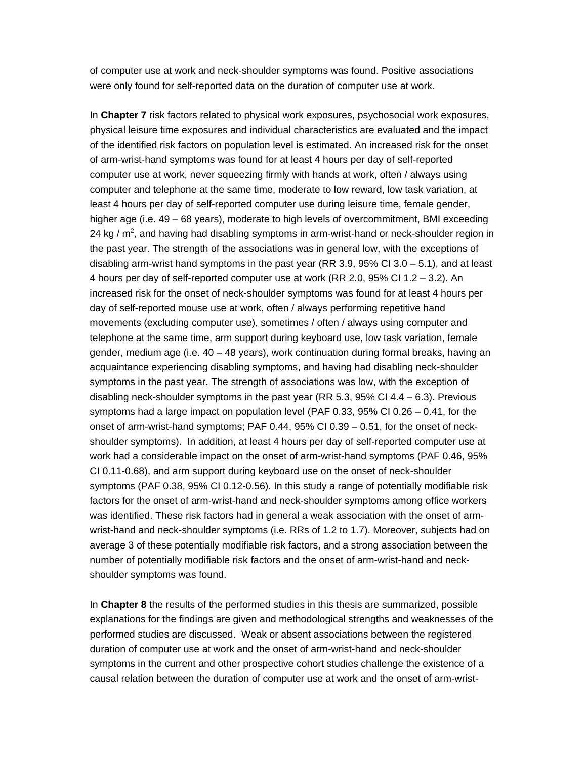of computer use at work and neck-shoulder symptoms was found. Positive associations were only found for self-reported data on the duration of computer use at work.

In **Chapter 7** risk factors related to physical work exposures, psychosocial work exposures, physical leisure time exposures and individual characteristics are evaluated and the impact of the identified risk factors on population level is estimated. An increased risk for the onset of arm-wrist-hand symptoms was found for at least 4 hours per day of self-reported computer use at work, never squeezing firmly with hands at work, often / always using computer and telephone at the same time, moderate to low reward, low task variation, at least 4 hours per day of self-reported computer use during leisure time, female gender, higher age (i.e. 49 – 68 years), moderate to high levels of overcommitment, BMI exceeding 24 kg /  $m^2$ , and having had disabling symptoms in arm-wrist-hand or neck-shoulder region in the past year. The strength of the associations was in general low, with the exceptions of disabling arm-wrist hand symptoms in the past year (RR 3.9, 95% CI 3.0  $-$  5.1), and at least 4 hours per day of self-reported computer use at work (RR 2.0, 95% CI 1.2 – 3.2). An increased risk for the onset of neck-shoulder symptoms was found for at least 4 hours per day of self-reported mouse use at work, often / always performing repetitive hand movements (excluding computer use), sometimes / often / always using computer and telephone at the same time, arm support during keyboard use, low task variation, female gender, medium age (i.e. 40 – 48 years), work continuation during formal breaks, having an acquaintance experiencing disabling symptoms, and having had disabling neck-shoulder symptoms in the past year. The strength of associations was low, with the exception of disabling neck-shoulder symptoms in the past year (RR 5.3, 95% CI 4.4 – 6.3). Previous symptoms had a large impact on population level (PAF 0.33, 95% CI 0.26 – 0.41, for the onset of arm-wrist-hand symptoms; PAF 0.44, 95% CI 0.39 – 0.51, for the onset of neckshoulder symptoms). In addition, at least 4 hours per day of self-reported computer use at work had a considerable impact on the onset of arm-wrist-hand symptoms (PAF 0.46, 95% CI 0.11-0.68), and arm support during keyboard use on the onset of neck-shoulder symptoms (PAF 0.38, 95% CI 0.12-0.56). In this study a range of potentially modifiable risk factors for the onset of arm-wrist-hand and neck-shoulder symptoms among office workers was identified. These risk factors had in general a weak association with the onset of armwrist-hand and neck-shoulder symptoms (i.e. RRs of 1.2 to 1.7). Moreover, subjects had on average 3 of these potentially modifiable risk factors, and a strong association between the number of potentially modifiable risk factors and the onset of arm-wrist-hand and neckshoulder symptoms was found.

In **Chapter 8** the results of the performed studies in this thesis are summarized, possible explanations for the findings are given and methodological strengths and weaknesses of the performed studies are discussed. Weak or absent associations between the registered duration of computer use at work and the onset of arm-wrist-hand and neck-shoulder symptoms in the current and other prospective cohort studies challenge the existence of a causal relation between the duration of computer use at work and the onset of arm-wrist